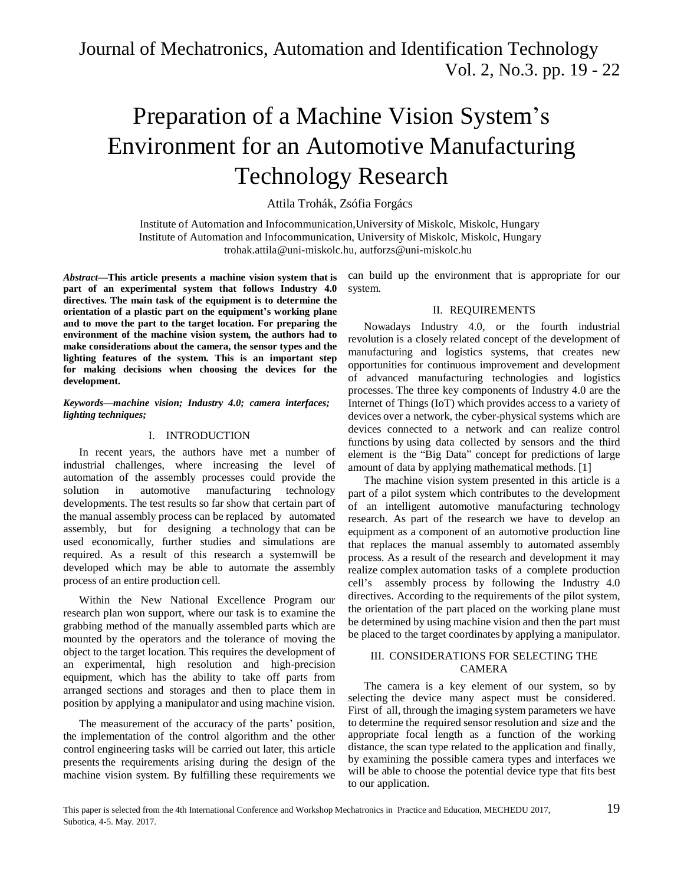# Preparation of a Machine Vision System's Environment for an Automotive Manufacturing Technology Research

Attila Trohák, Zsófia Forgács

Institute of Automation and Infocommunication,University of Miskolc, Miskolc, Hungary Institute of Automation and Infocommunication, University of Miskolc, Miskolc, Hungar[y](mailto:autforzs@uni-miskolc.hu) troha[k.attila@uni-miskolc.hu,](mailto:attila@uni-miskolc.hu) autforzs@uni-miskolc.hu

*Abstract***—This article presents a machine vision system that is part of an experimental system that follows Industry 4.0 directives. The main task of the equipment is to determine the orientation of a plastic part on the equipment's working plane and to move the part to the target location. For preparing the environment of the machine vision system, the authors had to make considerations about the camera, the sensor types and the lighting features of the system. This is an important step for making decisions when choosing the devices for the development.**

#### *Keywords—machine vision; Industry 4.0; camera interfaces; lighting techniques;*

#### I. INTRODUCTION

In recent years, the authors have met a number of industrial challenges, where increasing the level of automation of the assembly processes could provide the solution in automotive manufacturing technology developments. The test results so far show that certain part of the manual assembly process can be replaced by automated assembly, but for designing a technology that can be used economically, further studies and simulations are required. As a result of this research a systemwill be developed which may be able to automate the assembly process of an entire production cell.

Within the New National Excellence Program our research plan won support, where our task is to examine the grabbing method of the manually assembled parts which are mounted by the operators and the tolerance of moving the object to the target location. This requires the development of an experimental, high resolution and high-precision equipment, which has the ability to take off parts from arranged sections and storages and then to place them in position by applying a manipulator and using machine vision.

The measurement of the accuracy of the parts' position, the implementation of the control algorithm and the other control engineering tasks will be carried out later, this article presents the requirements arising during the design of the machine vision system. By fulfilling these requirements we

can build up the environment that is appropriate for our system.

## II. REQUIREMENTS

Nowadays Industry 4.0, or the fourth industrial revolution is a closely related concept of the development of manufacturing and logistics systems, that creates new opportunities for continuous improvement and development of advanced manufacturing technologies and logistics processes. The three key components of Industry 4.0 are the Internet of Things (IoT) which provides access to a variety of devices over a network, the cyber-physical systems which are devices connected to a network and can realize control functions by using data collected by sensors and the third element is the "Big Data" concept for predictions of large amount of data by applying mathematical methods. [1]

The machine vision system presented in this article is a part of a pilot system which contributes to the development of an intelligent automotive manufacturing technology research. As part of the research we have to develop an equipment as a component of an automotive production line that replaces the manual assembly to automated assembly process. As a result of the research and development it may realize complex automation tasks of a complete production cell's assembly process by following the Industry 4.0 directives. According to the requirements of the pilot system, the orientation of the part placed on the working plane must be determined by using machine vision and then the part must be placed to the target coordinates by applying a manipulator.

## III. CONSIDERATIONS FOR SELECTING THE CAMERA

The camera is a key element of our system, so by selecting the device many aspect must be considered. First of all, through the imaging system parameters we have to determine the required sensor resolution and size and the appropriate focal length as a function of the working distance, the scan type related to the application and finally, by examining the possible camera types and interfaces we will be able to choose the potential device type that fits best to our application.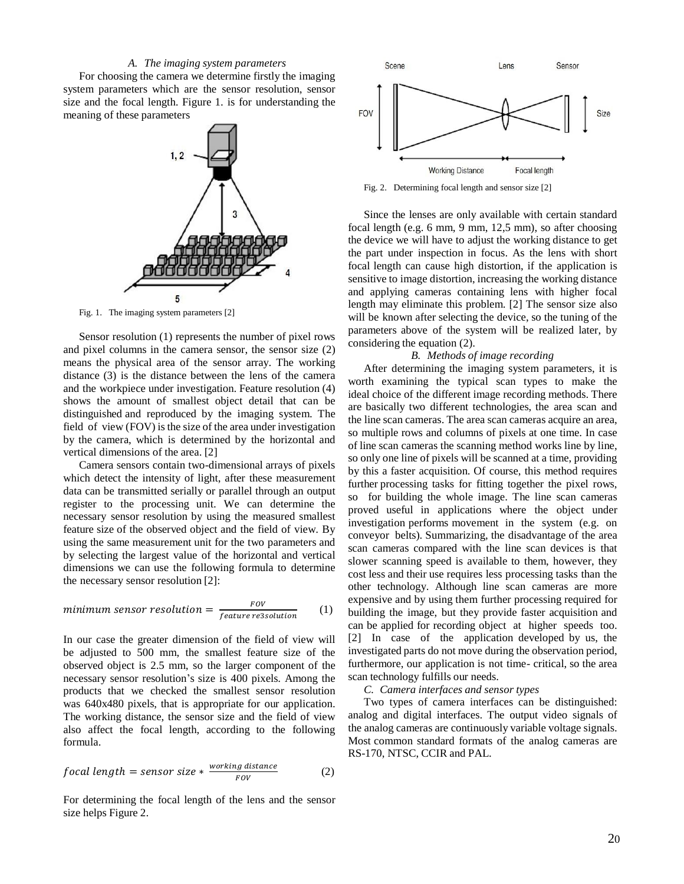#### *A. The imaging system parameters*

For choosing the camera we determine firstly the imaging system parameters which are the sensor resolution, sensor size and the focal length. Figure 1. is for understanding the meaning of these parameters



Fig. 1. The imaging system parameters [2]

Sensor resolution (1) represents the number of pixel rows and pixel columns in the camera sensor, the sensor size (2) means the physical area of the sensor array. The working distance (3) is the distance between the lens of the camera and the workpiece under investigation. Feature resolution (4) shows the amount of smallest object detail that can be distinguished and reproduced by the imaging system. The field of view (FOV) is the size of the area under investigation by the camera, which is determined by the horizontal and vertical dimensions of the area. [2]

Camera sensors contain two-dimensional arrays of pixels which detect the intensity of light, after these measurement data can be transmitted serially or parallel through an output register to the processing unit. We can determine the necessary sensor resolution by using the measured smallest feature size of the observed object and the field of view. By using the same measurement unit for the two parameters and by selecting the largest value of the horizontal and vertical dimensions we can use the following formula to determine the necessary sensor resolution [2]:

$$
minimum sensor resolution = \frac{FOV}{feature\ resolution} \qquad (1)
$$

In our case the greater dimension of the field of view will be adjusted to 500 mm, the smallest feature size of the observed object is 2.5 mm, so the larger component of the necessary sensor resolution's size is 400 pixels. Among the products that we checked the smallest sensor resolution was 640x480 pixels, that is appropriate for our application. The working distance, the sensor size and the field of view also affect the focal length, according to the following formula.

$$
focal length = sensor size * \frac{working distance}{FOV}
$$
 (2)

For determining the focal length of the lens and the sensor size helps Figure 2.



Fig. 2. Determining focal length and sensor size [2]

Since the lenses are only available with certain standard focal length (e.g. 6 mm, 9 mm, 12,5 mm), so after choosing the device we will have to adjust the working distance to get the part under inspection in focus. As the lens with short focal length can cause high distortion, if the application is sensitive to image distortion, increasing the working distance and applying cameras containing lens with higher focal length may eliminate this problem. [2] The sensor size also will be known after selecting the device, so the tuning of the parameters above of the system will be realized later, by considering the equation (2).

#### *B. Methods of image recording*

After determining the imaging system parameters, it is worth examining the typical scan types to make the ideal choice of the different image recording methods. There are basically two different technologies, the area scan and the line scan cameras. The area scan cameras acquire an area, so multiple rows and columns of pixels at one time. In case of line scan cameras the scanning method works line by line, so only one line of pixels will be scanned at a time, providing by this a faster acquisition. Of course, this method requires further processing tasks for fitting together the pixel rows, so for building the whole image. The line scan cameras proved useful in applications where the object under investigation performs movement in the system (e.g. on conveyor belts). Summarizing, the disadvantage of the area scan cameras compared with the line scan devices is that slower scanning speed is available to them, however, they cost less and their use requires less processing tasks than the other technology. Although line scan cameras are more expensive and by using them further processing required for building the image, but they provide faster acquisition and can be applied for recording object at higher speeds too. [2] In case of the application developed by us, the investigated parts do not move during the observation period, furthermore, our application is not time- critical, so the area scan technology fulfills our needs.

*C. Camera interfaces and sensor types*

Two types of camera interfaces can be distinguished: analog and digital interfaces. The output video signals of the analog cameras are continuously variable voltage signals. Most common standard formats of the analog cameras are RS-170, NTSC, CCIR and PAL.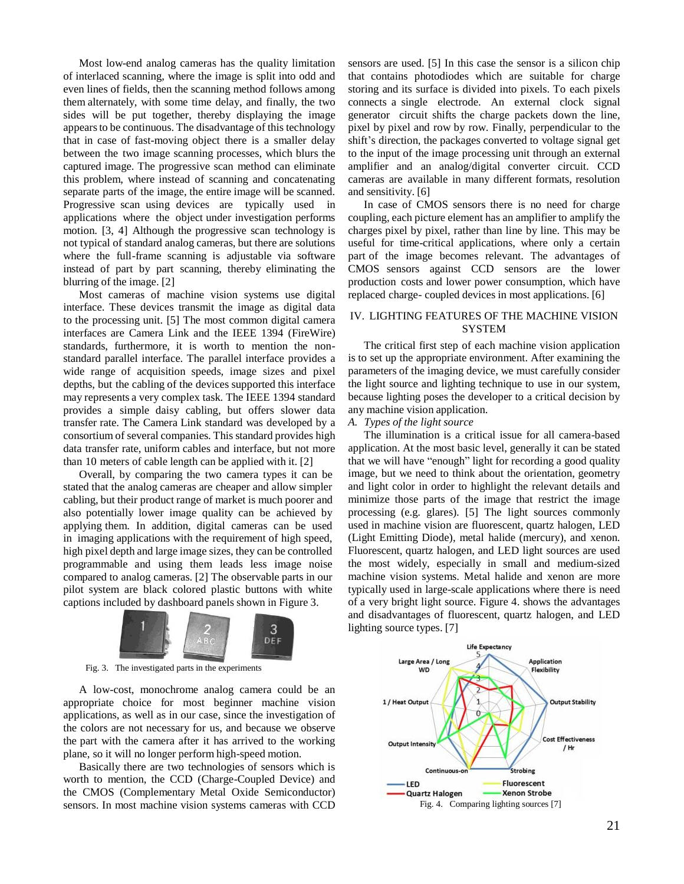Most low-end analog cameras has the quality limitation of interlaced scanning, where the image is split into odd and even lines of fields, then the scanning method follows among them alternately, with some time delay, and finally, the two sides will be put together, thereby displaying the image appears to be continuous. The disadvantage of this technology that in case of fast-moving object there is a smaller delay between the two image scanning processes, which blurs the captured image. The progressive scan method can eliminate this problem, where instead of scanning and concatenating separate parts of the image, the entire image will be scanned. Progressive scan using devices are typically used in applications where the object under investigation performs motion. [3, 4] Although the progressive scan technology is not typical of standard analog cameras, but there are solutions where the full-frame scanning is adjustable via software instead of part by part scanning, thereby eliminating the blurring of the image. [2]

Most cameras of machine vision systems use digital interface. These devices transmit the image as digital data to the processing unit. [5] The most common digital camera interfaces are Camera Link and the IEEE 1394 (FireWire) standards, furthermore, it is worth to mention the nonstandard parallel interface. The parallel interface provides a wide range of acquisition speeds, image sizes and pixel depths, but the cabling of the devices supported this interface may represents a very complex task. The IEEE 1394 standard provides a simple daisy cabling, but offers slower data transfer rate. The Camera Link standard was developed by a consortium of several companies. This standard provides high data transfer rate, uniform cables and interface, but not more than 10 meters of cable length can be applied with it. [2]

Overall, by comparing the two camera types it can be stated that the analog cameras are cheaper and allow simpler cabling, but their product range of market is much poorer and also potentially lower image quality can be achieved by applying them. In addition, digital cameras can be used in imaging applications with the requirement of high speed, high pixel depth and large image sizes, they can be controlled programmable and using them leads less image noise compared to analog cameras. [2] The observable parts in our pilot system are black colored plastic buttons with white captions included by dashboard panels shown in Figure 3.



Fig. 3. The investigated parts in the experiments

A low-cost, monochrome analog camera could be an appropriate choice for most beginner machine vision applications, as well as in our case, since the investigation of the colors are not necessary for us, and because we observe the part with the camera after it has arrived to the working plane, so it will no longer perform high-speed motion.

Basically there are two technologies of sensors which is worth to mention, the CCD (Charge-Coupled Device) and the CMOS (Complementary Metal Oxide Semiconductor) sensors. In most machine vision systems cameras with CCD

sensors are used. [5] In this case the sensor is a silicon chip that contains photodiodes which are suitable for charge storing and its surface is divided into pixels. To each pixels connects a single electrode. An external clock signal generator circuit shifts the charge packets down the line, pixel by pixel and row by row. Finally, perpendicular to the shift's direction, the packages converted to voltage signal get to the input of the image processing unit through an external amplifier and an analog/digital converter circuit. CCD cameras are available in many different formats, resolution and sensitivity. [6]

In case of CMOS sensors there is no need for charge coupling, each picture element has an amplifier to amplify the charges pixel by pixel, rather than line by line. This may be useful for time-critical applications, where only a certain part of the image becomes relevant. The advantages of CMOS sensors against CCD sensors are the lower production costs and lower power consumption, which have replaced charge- coupled devices in most applications. [6]

## IV. LIGHTING FEATURES OF THE MACHINE VISION SYSTEM

The critical first step of each machine vision application is to set up the appropriate environment. After examining the parameters of the imaging device, we must carefully consider the light source and lighting technique to use in our system, because lighting poses the developer to a critical decision by any machine vision application.

*A. Types of the light source*

The illumination is a critical issue for all camera-based application. At the most basic level, generally it can be stated that we will have "enough" light for recording a good quality image, but we need to think about the orientation, geometry and light color in order to highlight the relevant details and minimize those parts of the image that restrict the image processing (e.g. glares). [5] The light sources commonly used in machine vision are fluorescent, quartz halogen, LED (Light Emitting Diode), metal halide (mercury), and xenon. Fluorescent, quartz halogen, and LED light sources are used the most widely, especially in small and medium-sized machine vision systems. Metal halide and xenon are more typically used in large-scale applications where there is need of a very bright light source. Figure 4. shows the advantages and disadvantages of fluorescent, quartz halogen, and LED lighting source types. [7]